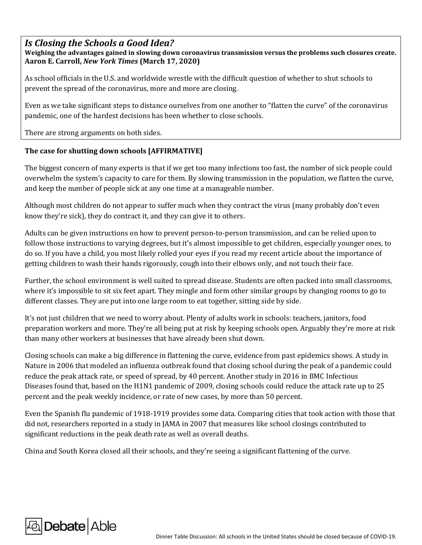## *Is Closing the Schools a Good Idea?*

**Weighing the advantages gained in slowing down coronavirus transmission versus the problems such closures create. [Aaron E. Carroll,](https://www.nytimes.com/by/aaron-e-carroll)** *New York Times* **(March 17, 2020)**

As school officials in the U.S. and worldwide wrestle with the difficult question of whether to shut schools to prevent the spread of the coronavirus, more and more are closing.

Even as we take significant steps to distance ourselves from one another to "[flatten the curve](https://www.nytimes.com/2020/03/12/upshot/coronavirus-biggest-worry-hospital-capacity.html)" of the coronavirus pandemic, one of the hardest decisions has been whether to close schools.

There are strong arguments on both sides.

## **The case for shutting down schools [AFFIRMATIVE]**

The [biggest concern](https://www.nytimes.com/2020/03/17/upshot/:Users:aaecarro:Library:Containers:com.apple.mail:Data:Library:Mail%20Downloads:8695CA95-8B6A-47B6-B82B-F05E18E2BF6A:The%20biggest%20concern%20for%20many%20experts%20in%20outbreaks%20is%20that%20if%20we%20get%20too%20many%20infections%20too%20fast,%20the%20number%20of%20sick%20people%20could%20overwhelm%20our%20system%E2%80%99s%20capacity%20to%20care%20for%20them.%20By%20slowing%20transmission%20in%20the%20population,%20we%20flatten%20the%20curve,%20and%20keep%20the%20number%20of%20people%20sick%20at%20any%20one%20time%20at%20a%20manageable%20number.) of many experts is that if we get too many infections too fast, the number of sick people could overwhelm the system's capacity to care for them. By slowing transmission in the population, we flatten the curve, and keep the number of people sick at any one time at a manageable number.

Although most children [do not appear to suffer much](https://pediatrics.aappublications.org/content/pediatrics/early/2020/03/16/peds.2020-0702.full.pdf) when they contract the virus (many probably don't even know they're sick), [they do contract it,](https://pediatrics.aappublications.org/content/pediatrics/early/2020/03/16/peds.2020-0834.full-text.pdf) and they can give it to others.

Adults can be given instructions on how to prevent person-to-person transmission, and can be relied upon to follow those instructions to varying degrees, but it's almost impossible to get children, especially younger ones, to do so. If you have a child, you most likely rolled your eyes [if you read my recent article](https://www.nytimes.com/2020/02/10/upshot/coronavirus-risk-prevention-advice.html) about the importance of getting children to wash their hands rigorously, cough into their elbows only, and not touch their face.

Further, the school environment is well suited to spread disease. Students are often packed into small classrooms, where it's impossible to sit six feet apart. They mingle and form other similar groups by changing rooms to go to different classes. They are put into one large room to eat together, sitting side by side.

It's not just children that we need to worry about. Plenty of adults work in schools: teachers, janitors, food preparation workers and more. They're all being put at risk by keeping schools open. Arguably they're more at risk than many other workers at businesses that have already been shut down.

Closing schools can make a big difference in flattening the curve, evidence from past epidemics shows. A study [in](https://www.nature.com/articles/nature04795)  [Nature in 2006](https://www.nature.com/articles/nature04795) that modeled an influenza outbreak found that closing school during the peak of a pandemic could reduce the peak attack rate, or speed of spread, by 40 percent. Another study in [2016 in BMC Infectious](https://bmcinfectdis.biomedcentral.com/track/pdf/10.1186/s12879-016-1918-z)  [Diseases](https://bmcinfectdis.biomedcentral.com/track/pdf/10.1186/s12879-016-1918-z) found that, based on the H1N1 pandemic of 2009, closing schools could reduce the attack rate up to 25 percent and the peak weekly incidence, or rate of new cases, by more than 50 percent.

Even the Spanish flu pandemic of 1918-1919 provides some data. Comparing cities that took action with those that did not, researchers reported in a [study](https://jamanetwork.com/journals/jama/fullarticle/208354) in JAMA in 2007 that measures like school closings contributed to significant reductions in the peak death rate as well as overall deaths.

China and South Korea closed all their schools, and they're seeing a significant flattening of the curve.